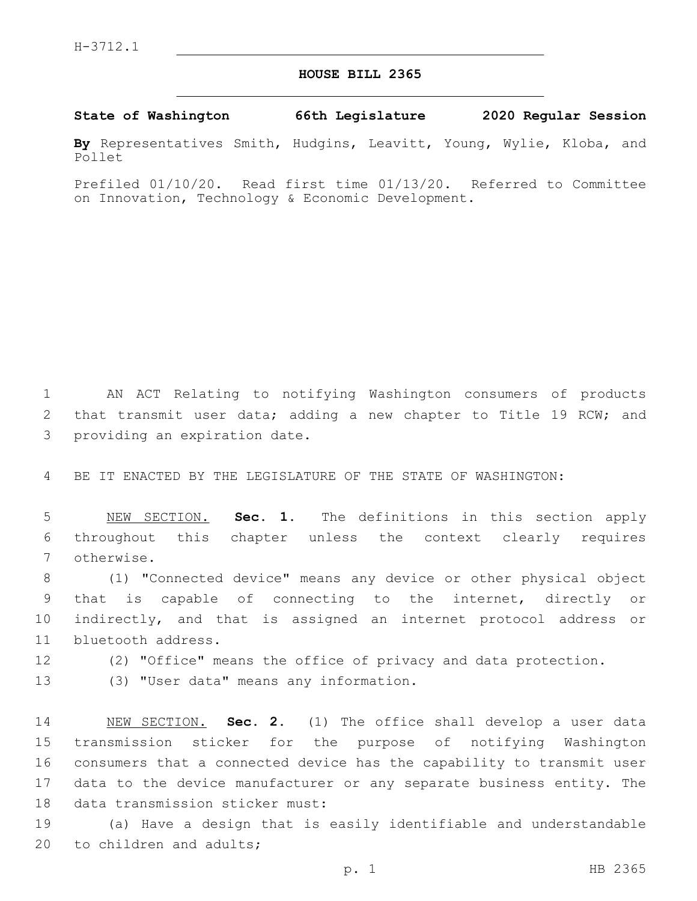## **HOUSE BILL 2365**

## **State of Washington 66th Legislature 2020 Regular Session**

**By** Representatives Smith, Hudgins, Leavitt, Young, Wylie, Kloba, and Pollet

Prefiled 01/10/20. Read first time 01/13/20. Referred to Committee on Innovation, Technology & Economic Development.

1 AN ACT Relating to notifying Washington consumers of products 2 that transmit user data; adding a new chapter to Title 19 RCW; and 3 providing an expiration date.

4 BE IT ENACTED BY THE LEGISLATURE OF THE STATE OF WASHINGTON:

5 NEW SECTION. **Sec. 1.** The definitions in this section apply 6 throughout this chapter unless the context clearly requires 7 otherwise.

 (1) "Connected device" means any device or other physical object that is capable of connecting to the internet, directly or indirectly, and that is assigned an internet protocol address or 11 bluetooth address.

12 (2) "Office" means the office of privacy and data protection.

13 (3) "User data" means any information.

 NEW SECTION. **Sec. 2.** (1) The office shall develop a user data transmission sticker for the purpose of notifying Washington consumers that a connected device has the capability to transmit user data to the device manufacturer or any separate business entity. The data transmission sticker must:

19 (a) Have a design that is easily identifiable and understandable 20 to children and adults;